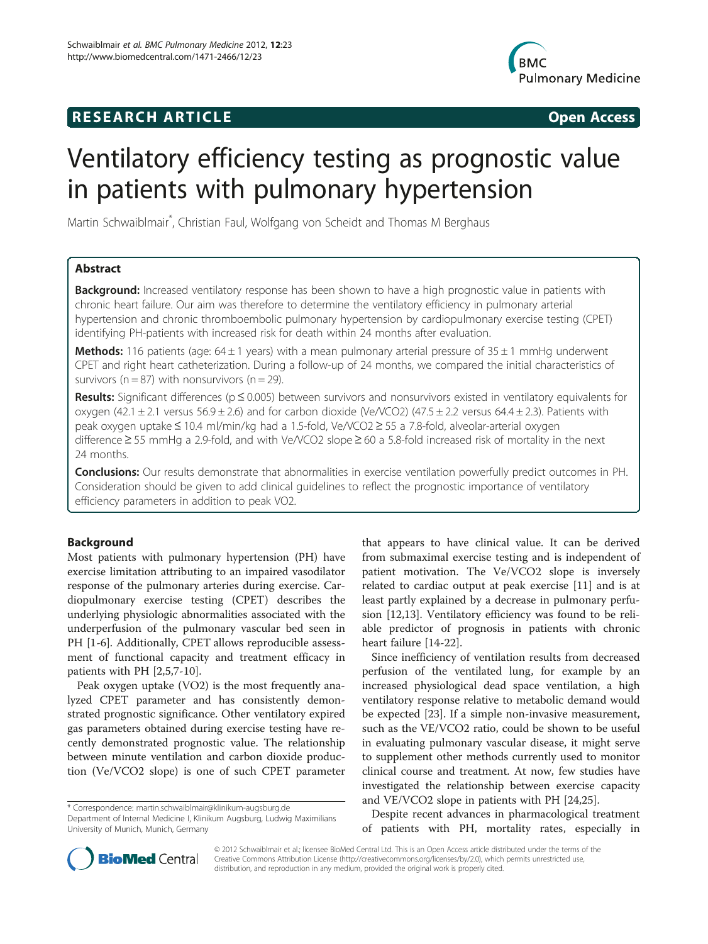## **RESEARCH ARTICLE Example 2014 CONSIDERING CONSIDERING CONSIDERING CONSIDERING CONSIDERING CONSIDERING CONSIDERING CONSIDERING CONSIDERING CONSIDERING CONSIDERING CONSIDERING CONSIDERING CONSIDERING CONSIDERING CONSIDE**



# Ventilatory efficiency testing as prognostic value in patients with pulmonary hypertension

Martin Schwaiblmair\* , Christian Faul, Wolfgang von Scheidt and Thomas M Berghaus

## Abstract

**Background:** Increased ventilatory response has been shown to have a high prognostic value in patients with chronic heart failure. Our aim was therefore to determine the ventilatory efficiency in pulmonary arterial hypertension and chronic thromboembolic pulmonary hypertension by cardiopulmonary exercise testing (CPET) identifying PH-patients with increased risk for death within 24 months after evaluation.

**Methods:** 116 patients (age:  $64 \pm 1$  years) with a mean pulmonary arterial pressure of  $35 \pm 1$  mmHg underwent CPET and right heart catheterization. During a follow-up of 24 months, we compared the initial characteristics of survivors ( $n = 87$ ) with nonsurvivors ( $n = 29$ ).

Results: Significant differences ( $p \le 0.005$ ) between survivors and nonsurvivors existed in ventilatory equivalents for oxygen (42.1  $\pm$  2.1 versus 56.9  $\pm$  2.6) and for carbon dioxide (Ve/VCO2) (47.5  $\pm$  2.2 versus 64.4  $\pm$  2.3). Patients with peak oxygen uptake ≤ 10.4 ml/min/kg had a 1.5-fold, Ve/VCO2 ≥ 55 a 7.8-fold, alveolar-arterial oxygen difference ≥ 55 mmHg a 2.9-fold, and with Ve/VCO2 slope ≥ 60 a 5.8-fold increased risk of mortality in the next 24 months.

Conclusions: Our results demonstrate that abnormalities in exercise ventilation powerfully predict outcomes in PH. Consideration should be given to add clinical guidelines to reflect the prognostic importance of ventilatory efficiency parameters in addition to peak VO2.

## Background

Most patients with pulmonary hypertension (PH) have exercise limitation attributing to an impaired vasodilator response of the pulmonary arteries during exercise. Cardiopulmonary exercise testing (CPET) describes the underlying physiologic abnormalities associated with the underperfusion of the pulmonary vascular bed seen in PH [\[1-](#page-5-0)[6](#page-6-0)]. Additionally, CPET allows reproducible assessment of functional capacity and treatment efficacy in patients with PH [[2,](#page-5-0)[5,7-10](#page-6-0)].

Peak oxygen uptake (VO2) is the most frequently analyzed CPET parameter and has consistently demonstrated prognostic significance. Other ventilatory expired gas parameters obtained during exercise testing have recently demonstrated prognostic value. The relationship between minute ventilation and carbon dioxide production (Ve/VCO2 slope) is one of such CPET parameter

\* Correspondence: [martin.schwaiblmair@klinikum-augsburg.de](mailto:martin.schwaiblmair@klinikum-augsburg.de)

Department of Internal Medicine I, Klinikum Augsburg, Ludwig Maximilians University of Munich, Munich, Germany

that appears to have clinical value. It can be derived from submaximal exercise testing and is independent of patient motivation. The Ve/VCO2 slope is inversely related to cardiac output at peak exercise [\[11](#page-6-0)] and is at least partly explained by a decrease in pulmonary perfusion [\[12,13](#page-6-0)]. Ventilatory efficiency was found to be reliable predictor of prognosis in patients with chronic heart failure [[14](#page-6-0)-[22\]](#page-6-0).

Since inefficiency of ventilation results from decreased perfusion of the ventilated lung, for example by an increased physiological dead space ventilation, a high ventilatory response relative to metabolic demand would be expected [\[23\]](#page-6-0). If a simple non-invasive measurement, such as the VE/VCO2 ratio, could be shown to be useful in evaluating pulmonary vascular disease, it might serve to supplement other methods currently used to monitor clinical course and treatment. At now, few studies have investigated the relationship between exercise capacity and VE/VCO2 slope in patients with PH [[24](#page-6-0),[25](#page-6-0)].

Despite recent advances in pharmacological treatment of patients with PH, mortality rates, especially in



© 2012 Schwaiblmair et al.; licensee BioMed Central Ltd. This is an Open Access article distributed under the terms of the Creative Commons Attribution License (<http://creativecommons.org/licenses/by/2.0>), which permits unrestricted use, distribution, and reproduction in any medium, provided the original work is properly cited.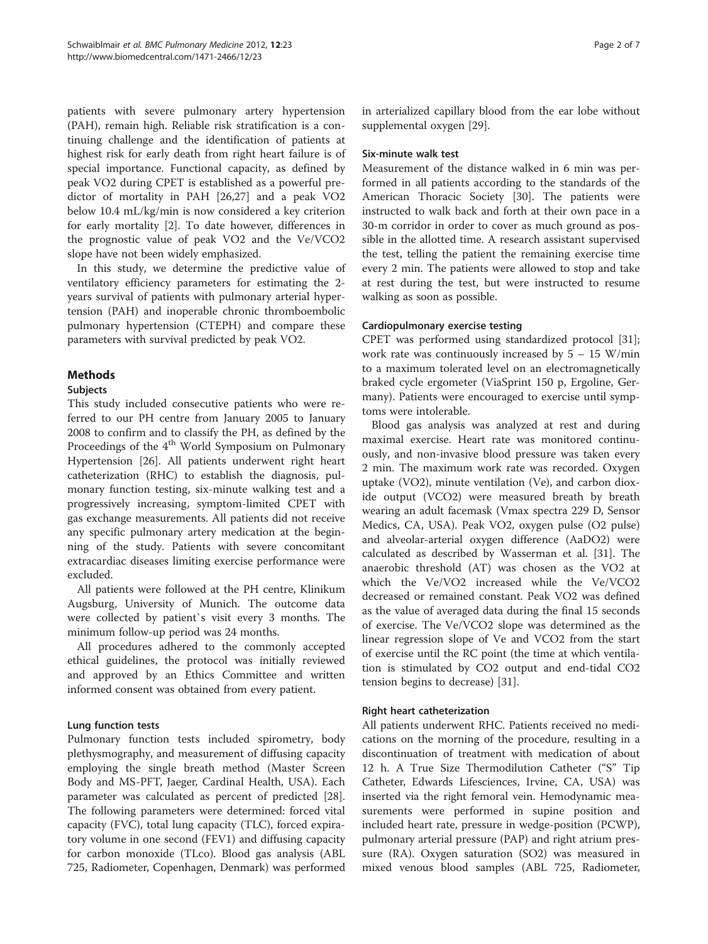patients with severe pulmonary artery hypertension (PAH), remain high. Reliable risk stratification is a continuing challenge and the identification of patients at highest risk for early death from right heart failure is of special importance. Functional capacity, as defined by peak VO2 during CPET is established as a powerful predictor of mortality in PAH [\[26,27](#page-6-0)] and a peak VO2 below 10.4 mL/kg/min is now considered a key criterion for early mortality [[2](#page-5-0)]. To date however, differences in the prognostic value of peak VO2 and the Ve/VCO2 slope have not been widely emphasized.

In this study, we determine the predictive value of ventilatory efficiency parameters for estimating the 2 years survival of patients with pulmonary arterial hypertension (PAH) and inoperable chronic thromboembolic pulmonary hypertension (CTEPH) and compare these parameters with survival predicted by peak VO2.

## Methods

## Subjects

This study included consecutive patients who were referred to our PH centre from January 2005 to January 2008 to confirm and to classify the PH, as defined by the Proceedings of the 4<sup>th</sup> World Symposium on Pulmonary Hypertension [\[26](#page-6-0)]. All patients underwent right heart catheterization (RHC) to establish the diagnosis, pulmonary function testing, six-minute walking test and a progressively increasing, symptom-limited CPET with gas exchange measurements. All patients did not receive any specific pulmonary artery medication at the beginning of the study. Patients with severe concomitant extracardiac diseases limiting exercise performance were excluded.

All patients were followed at the PH centre, Klinikum Augsburg, University of Munich. The outcome data were collected by patient`s visit every 3 months. The minimum follow-up period was 24 months.

All procedures adhered to the commonly accepted ethical guidelines, the protocol was initially reviewed and approved by an Ethics Committee and written informed consent was obtained from every patient.

## Lung function tests

Pulmonary function tests included spirometry, body plethysmography, and measurement of diffusing capacity employing the single breath method (Master Screen Body and MS-PFT, Jaeger, Cardinal Health, USA). Each parameter was calculated as percent of predicted [\[28](#page-6-0)]. The following parameters were determined: forced vital capacity (FVC), total lung capacity (TLC), forced expiratory volume in one second (FEV1) and diffusing capacity for carbon monoxide (TLco). Blood gas analysis (ABL 725, Radiometer, Copenhagen, Denmark) was performed in arterialized capillary blood from the ear lobe without supplemental oxygen [\[29](#page-6-0)].

## Six-minute walk test

Measurement of the distance walked in 6 min was performed in all patients according to the standards of the American Thoracic Society [\[30](#page-6-0)]. The patients were instructed to walk back and forth at their own pace in a 30-m corridor in order to cover as much ground as possible in the allotted time. A research assistant supervised the test, telling the patient the remaining exercise time every 2 min. The patients were allowed to stop and take at rest during the test, but were instructed to resume walking as soon as possible.

## Cardiopulmonary exercise testing

CPET was performed using standardized protocol [\[31](#page-6-0)]; work rate was continuously increased by  $5 - 15$  W/min to a maximum tolerated level on an electromagnetically braked cycle ergometer (ViaSprint 150 p, Ergoline, Germany). Patients were encouraged to exercise until symptoms were intolerable.

Blood gas analysis was analyzed at rest and during maximal exercise. Heart rate was monitored continuously, and non-invasive blood pressure was taken every 2 min. The maximum work rate was recorded. Oxygen uptake (VO2), minute ventilation (Ve), and carbon dioxide output (VCO2) were measured breath by breath wearing an adult facemask (Vmax spectra 229 D, Sensor Medics, CA, USA). Peak VO2, oxygen pulse (O2 pulse) and alveolar-arterial oxygen difference (AaDO2) were calculated as described by Wasserman et al. [[31](#page-6-0)]. The anaerobic threshold (AT) was chosen as the VO2 at which the Ve/VO2 increased while the Ve/VCO2 decreased or remained constant. Peak VO2 was defined as the value of averaged data during the final 15 seconds of exercise. The Ve/VCO2 slope was determined as the linear regression slope of Ve and VCO2 from the start of exercise until the RC point (the time at which ventilation is stimulated by CO2 output and end-tidal CO2 tension begins to decrease) [[31\]](#page-6-0).

## Right heart catheterization

All patients underwent RHC. Patients received no medications on the morning of the procedure, resulting in a discontinuation of treatment with medication of about 12 h. A True Size Thermodilution Catheter ("S" Tip Catheter, Edwards Lifesciences, Irvine, CA, USA) was inserted via the right femoral vein. Hemodynamic measurements were performed in supine position and included heart rate, pressure in wedge-position (PCWP), pulmonary arterial pressure (PAP) and right atrium pressure (RA). Oxygen saturation (SO2) was measured in mixed venous blood samples (ABL 725, Radiometer,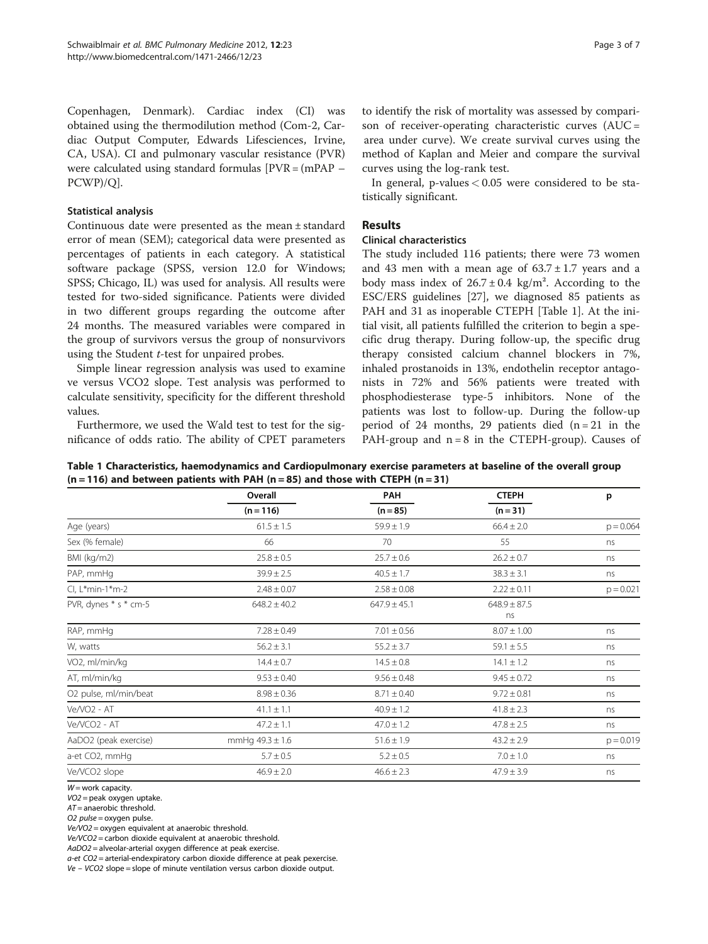Copenhagen, Denmark). Cardiac index (CI) was obtained using the thermodilution method (Com-2, Cardiac Output Computer, Edwards Lifesciences, Irvine, CA, USA). CI and pulmonary vascular resistance (PVR) were calculated using standard formulas [PVR = (mPAP – PCWP)/Q].

## Statistical analysis

Continuous date were presented as the mean ± standard error of mean (SEM); categorical data were presented as percentages of patients in each category. A statistical software package (SPSS, version 12.0 for Windows; SPSS; Chicago, IL) was used for analysis. All results were tested for two-sided significance. Patients were divided in two different groups regarding the outcome after 24 months. The measured variables were compared in the group of survivors versus the group of nonsurvivors using the Student t-test for unpaired probes.

Simple linear regression analysis was used to examine ve versus VCO2 slope. Test analysis was performed to calculate sensitivity, specificity for the different threshold values.

Furthermore, we used the Wald test to test for the significance of odds ratio. The ability of CPET parameters to identify the risk of mortality was assessed by comparison of receiver-operating characteristic curves (AUC = area under curve). We create survival curves using the method of Kaplan and Meier and compare the survival curves using the log-rank test.

In general, p-values  $< 0.05$  were considered to be statistically significant.

## Results

## Clinical characteristics

The study included 116 patients; there were 73 women and 43 men with a mean age of  $63.7 \pm 1.7$  years and a body mass index of  $26.7 \pm 0.4$  kg/m<sup>2</sup>. According to the ESC/ERS guidelines [\[27](#page-6-0)], we diagnosed 85 patients as PAH and 31 as inoperable CTEPH [Table 1]. At the initial visit, all patients fulfilled the criterion to begin a specific drug therapy. During follow-up, the specific drug therapy consisted calcium channel blockers in 7%, inhaled prostanoids in 13%, endothelin receptor antagonists in 72% and 56% patients were treated with phosphodiesterase type-5 inhibitors. None of the patients was lost to follow-up. During the follow-up period of 24 months, 29 patients died  $(n = 21)$  in the PAH-group and  $n = 8$  in the CTEPH-group). Causes of

Table 1 Characteristics, haemodynamics and Cardiopulmonary exercise parameters at baseline of the overall group  $(n = 116)$  and between patients with PAH  $(n = 85)$  and those with CTEPH  $(n = 31)$ 

|                             | Overall<br>$(n = 116)$ | PAH<br>$(n = 85)$ | <b>CTEPH</b><br>$(n=31)$ | p           |
|-----------------------------|------------------------|-------------------|--------------------------|-------------|
|                             |                        |                   |                          |             |
| Age (years)                 | $61.5 \pm 1.5$         | $59.9 \pm 1.9$    | $66.4 \pm 2.0$           | $p = 0.064$ |
| Sex (% female)              | 66                     | 70                | 55                       | ns          |
| BMI (kg/m2)                 | $25.8 \pm 0.5$         | $25.7 \pm 0.6$    | $26.2 \pm 0.7$           | ns          |
| PAP, mmHq                   | $39.9 \pm 2.5$         | $40.5 \pm 1.7$    | $38.3 \pm 3.1$           | ns          |
| Cl, L*min-1*m-2             | $2.48 \pm 0.07$        | $2.58 \pm 0.08$   | $2.22 \pm 0.11$          | $p = 0.021$ |
| PVR, dynes * s * cm-5       | $648.2 \pm 40.2$       | $647.9 \pm 45.1$  | $648.9 \pm 87.5$<br>ns   |             |
| RAP, mmHg                   | $7.28 \pm 0.49$        | $7.01 \pm 0.56$   | $8.07 \pm 1.00$          | ns          |
| W, watts                    | $56.2 \pm 3.1$         | $55.2 \pm 3.7$    | $59.1 \pm 5.5$           | ns          |
| VO <sub>2</sub> , ml/min/kg | $14.4 \pm 0.7$         | $14.5 \pm 0.8$    | $14.1 \pm 1.2$           | ns          |
| AT, ml/min/kg               | $9.53 \pm 0.40$        | $9.56 \pm 0.48$   | $9.45 \pm 0.72$          | ns          |
| O2 pulse, ml/min/beat       | $8.98 \pm 0.36$        | $8.71 \pm 0.40$   | $9.72 \pm 0.81$          | ns          |
| Ve/VO2 - AT                 | $41.1 \pm 1.1$         | $40.9 \pm 1.2$    | $41.8 \pm 2.3$           | ns          |
| Ve/VCO2 - AT                | $47.2 \pm 1.1$         | $47.0 \pm 1.2$    | $47.8 \pm 2.5$           | ns          |
| AaDO2 (peak exercise)       | mmHg $49.3 \pm 1.6$    | $51.6 \pm 1.9$    | $43.2 \pm 2.9$           | $p = 0.019$ |
| a-et CO2, mmHq              | $5.7 \pm 0.5$          | $5.2 \pm 0.5$     | $7.0 \pm 1.0$            | ns          |
| Ve/VCO2 slope               | $46.9 \pm 2.0$         | $46.6 \pm 2.3$    | $47.9 \pm 3.9$           | ns          |

 $W =$  work capacity.

VO2 = peak oxygen uptake.

 $AT =$  anaerobic threshold.

O2 pulse = oxygen pulse.

Ve/VO2 = oxygen equivalent at anaerobic threshold.

Ve/VCO2 = carbon dioxide equivalent at anaerobic threshold.

AaDO2 = alveolar-arterial oxygen difference at peak exercise.

a-et CO2 = arterial-endexpiratory carbon dioxide difference at peak pexercise.

Ve – VCO2 slope = slope of minute ventilation versus carbon dioxide output.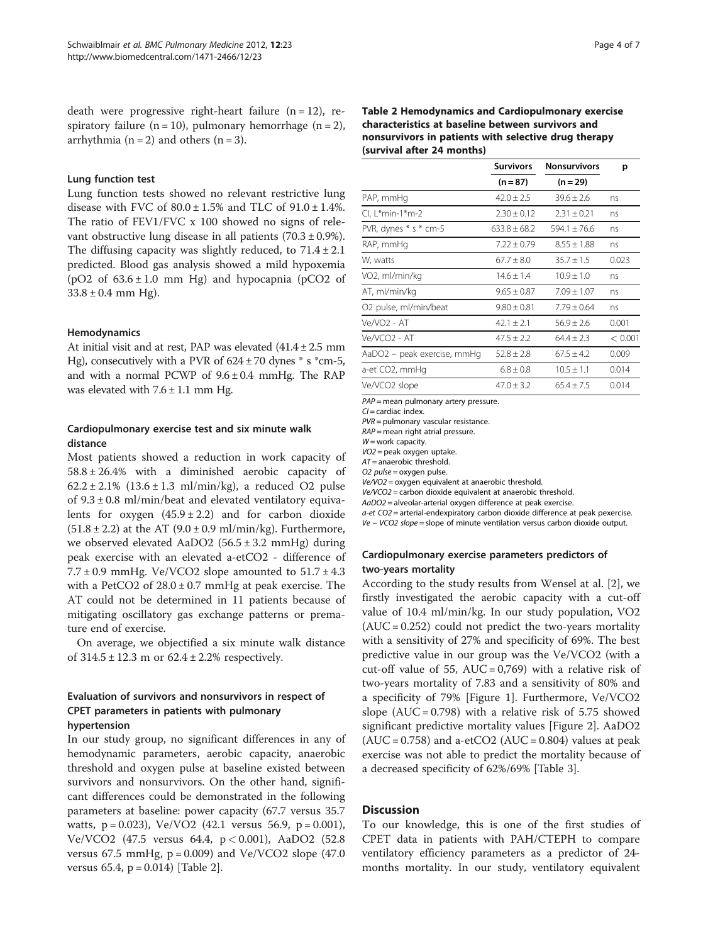death were progressive right-heart failure  $(n = 12)$ , respiratory failure ( $n = 10$ ), pulmonary hemorrhage ( $n = 2$ ), arrhythmia ( $n = 2$ ) and others ( $n = 3$ ).

### Lung function test

Lung function tests showed no relevant restrictive lung disease with FVC of  $80.0 \pm 1.5\%$  and TLC of  $91.0 \pm 1.4\%$ . The ratio of FEV1/FVC x 100 showed no signs of relevant obstructive lung disease in all patients  $(70.3 \pm 0.9\%)$ . The diffusing capacity was slightly reduced, to  $71.4 \pm 2.1$ predicted. Blood gas analysis showed a mild hypoxemia ( $pO2$  of  $63.6 \pm 1.0$  mm Hg) and hypocapnia ( $pCO2$  of  $33.8 \pm 0.4$  mm Hg).

#### Hemodynamics

At initial visit and at rest, PAP was elevated  $(41.4 \pm 2.5 \text{ mm})$ Hg), consecutively with a PVR of  $624 \pm 70$  dynes  $*$  s  $*$ cm-5, and with a normal PCWP of  $9.6 \pm 0.4$  mmHg. The RAP was elevated with  $7.6 \pm 1.1$  mm Hg.

## Cardiopulmonary exercise test and six minute walk distance

Most patients showed a reduction in work capacity of 58.8 ± 26.4% with a diminished aerobic capacity of  $62.2 \pm 2.1\%$  (13.6  $\pm$  1.3 ml/min/kg), a reduced O2 pulse of  $9.3 \pm 0.8$  ml/min/beat and elevated ventilatory equivalents for oxygen  $(45.9 \pm 2.2)$  and for carbon dioxide  $(51.8 \pm 2.2)$  at the AT  $(9.0 \pm 0.9 \text{ ml/min/kg})$ . Furthermore, we observed elevated AaDO2  $(56.5 \pm 3.2 \text{ mmHg})$  during peak exercise with an elevated a-etCO2 - difference of  $7.7 \pm 0.9$  mmHg. Ve/VCO2 slope amounted to  $51.7 \pm 4.3$ with a PetCO2 of  $28.0 \pm 0.7$  mmHg at peak exercise. The AT could not be determined in 11 patients because of mitigating oscillatory gas exchange patterns or premature end of exercise.

On average, we objectified a six minute walk distance of  $314.5 \pm 12.3$  m or  $62.4 \pm 2.2$ % respectively.

## Evaluation of survivors and nonsurvivors in respect of CPET parameters in patients with pulmonary hypertension

In our study group, no significant differences in any of hemodynamic parameters, aerobic capacity, anaerobic threshold and oxygen pulse at baseline existed between survivors and nonsurvivors. On the other hand, significant differences could be demonstrated in the following parameters at baseline: power capacity (67.7 versus 35.7 watts,  $p = 0.023$ ),  $Ve/VO2$  (42.1 versus 56.9,  $p = 0.001$ ), Ve/VCO2 (47.5 versus 64.4, p < 0.001), AaDO2 (52.8 versus 67.5 mmHg,  $p = 0.009$ ) and Ve/VCO2 slope (47.0) versus 65.4,  $p = 0.014$ ) [Table 2].

## Table 2 Hemodynamics and Cardiopulmonary exercise characteristics at baseline between survivors and nonsurvivors in patients with selective drug therapy (survival after 24 months)

|                                   | <b>Survivors</b><br><b>Nonsurvivors</b> |                 | р       |
|-----------------------------------|-----------------------------------------|-----------------|---------|
|                                   | $(n = 87)$                              | $(n = 29)$      |         |
| PAP, mmHg                         | $42.0 \pm 2.5$                          | $39.6 \pm 2.6$  | ns      |
| Cl, L*min-1*m-2                   | $2.30 \pm 0.12$                         | $2.31 \pm 0.21$ | ns      |
| PVR, dynes * s * cm-5             | $633.8 \pm 68.2$                        | $594.1 + 76.6$  | ns      |
| RAP, mmHg                         | $7.22 \pm 0.79$                         | $8.55 \pm 1.88$ | ns      |
| W, watts                          | $67.7 \pm 8.0$                          | $35.7 \pm 1.5$  | 0.023   |
| VO2, ml/min/kg                    | $14.6 \pm 1.4$                          | $10.9 \pm 1.0$  | ns      |
| AT, ml/min/kg                     | $9.65 + 0.87$                           | $7.09 + 1.07$   | ns      |
| O <sub>2</sub> pulse, ml/min/beat | $9.80 \pm 0.81$                         | $7.79 \pm 0.64$ | ns      |
| Ve/VO2 - AT                       | $42.1 \pm 2.1$                          | $56.9 \pm 2.6$  | 0.001   |
| Ve/VCO2 - AT                      | $47.5 \pm 2.2$                          | $64.4 \pm 2.3$  | < 0.001 |
| AaDO2 – peak exercise, mmHg       | $52.8 \pm 2.8$                          | $67.5 \pm 4.2$  | 0.009   |
| a-et CO2, mmHg                    | $6.8 \pm 0.8$                           | $10.5 \pm 1.1$  | 0.014   |
| Ve/VCO2 slope                     | $47.0 \pm 3.2$                          | $65.4 \pm 7.5$  | 0.014   |

 $PAP =$  mean pulmonary artery pressure.

 $CI =$  cardiac index.

PVR = pulmonary vascular resistance.

 $RAP$  = mean right atrial pressure.

 $W =$  work capacity.

VO2 = peak oxygen uptake.

 $AT =$  anaerobic threshold.

O2 pulse =  $oxvan$  pulse.

Ve/VO2 = oxygen equivalent at anaerobic threshold. Ve/VCO2 = carbon dioxide equivalent at anaerobic threshold.

AaDO2 = alveolar-arterial oxygen difference at peak exercise.

a-et CO2 = arterial-endexpiratory carbon dioxide difference at peak pexercise. Ve – VCO2 slope = slope of minute ventilation versus carbon dioxide output.

## Cardiopulmonary exercise parameters predictors of two-years mortality

According to the study results from Wensel at al. [\[2\]](#page-5-0), we firstly investigated the aerobic capacity with a cut-off value of 10.4 ml/min/kg. In our study population, VO2  $(AUC = 0.252)$  could not predict the two-years mortality with a sensitivity of 27% and specificity of 69%. The best predictive value in our group was the Ve/VCO2 (with a cut-off value of 55, AUC =  $0,769$ ) with a relative risk of two-years mortality of 7.83 and a sensitivity of 80% and a specificity of 79% [Figure [1](#page-4-0)]. Furthermore, Ve/VCO2 slope  $(AUC = 0.798)$  with a relative risk of 5.75 showed significant predictive mortality values [Figure [2\]](#page-4-0). AaDO2  $(AUC = 0.758)$  and a-etCO2  $(AUC = 0.804)$  values at peak exercise was not able to predict the mortality because of a decreased specificity of 62%/69% [Table [3](#page-4-0)].

## **Discussion**

To our knowledge, this is one of the first studies of CPET data in patients with PAH/CTEPH to compare ventilatory efficiency parameters as a predictor of 24 months mortality. In our study, ventilatory equivalent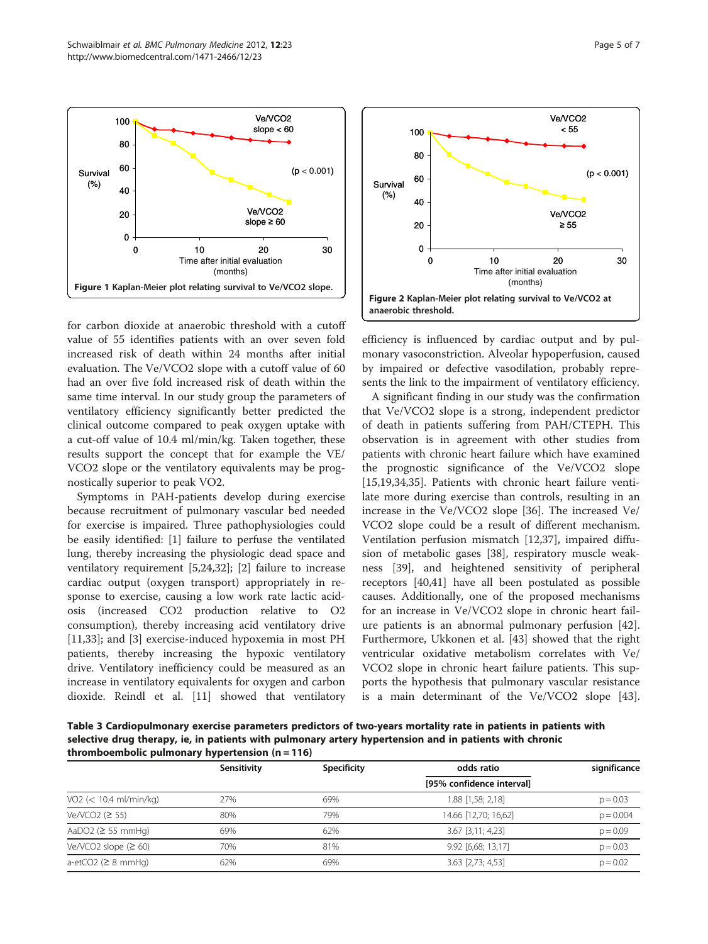<span id="page-4-0"></span>

for carbon dioxide at anaerobic threshold with a cutoff value of 55 identifies patients with an over seven fold increased risk of death within 24 months after initial evaluation. The Ve/VCO2 slope with a cutoff value of 60 had an over five fold increased risk of death within the same time interval. In our study group the parameters of ventilatory efficiency significantly better predicted the clinical outcome compared to peak oxygen uptake with a cut-off value of 10.4 ml/min/kg. Taken together, these results support the concept that for example the VE/ VCO2 slope or the ventilatory equivalents may be prognostically superior to peak VO2.

Symptoms in PAH-patients develop during exercise because recruitment of pulmonary vascular bed needed for exercise is impaired. Three pathophysiologies could be easily identified: [[1\]](#page-5-0) failure to perfuse the ventilated lung, thereby increasing the physiologic dead space and ventilatory requirement [[5,24,32\]](#page-6-0); [\[2](#page-5-0)] failure to increase cardiac output (oxygen transport) appropriately in response to exercise, causing a low work rate lactic acidosis (increased CO2 production relative to O2 consumption), thereby increasing acid ventilatory drive [[11,33\]](#page-6-0); and [[3\]](#page-5-0) exercise-induced hypoxemia in most PH patients, thereby increasing the hypoxic ventilatory drive. Ventilatory inefficiency could be measured as an increase in ventilatory equivalents for oxygen and carbon dioxide. Reindl et al. [[11\]](#page-6-0) showed that ventilatory



efficiency is influenced by cardiac output and by pulmonary vasoconstriction. Alveolar hypoperfusion, caused by impaired or defective vasodilation, probably represents the link to the impairment of ventilatory efficiency.

A significant finding in our study was the confirmation that Ve/VCO2 slope is a strong, independent predictor of death in patients suffering from PAH/CTEPH. This observation is in agreement with other studies from patients with chronic heart failure which have examined the prognostic significance of the Ve/VCO2 slope [[15,19,34,35\]](#page-6-0). Patients with chronic heart failure ventilate more during exercise than controls, resulting in an increase in the Ve/VCO2 slope [[36](#page-6-0)]. The increased Ve/ VCO2 slope could be a result of different mechanism. Ventilation perfusion mismatch [\[12,37](#page-6-0)], impaired diffusion of metabolic gases [[38](#page-6-0)], respiratory muscle weakness [\[39](#page-6-0)], and heightened sensitivity of peripheral receptors [\[40,41\]](#page-6-0) have all been postulated as possible causes. Additionally, one of the proposed mechanisms for an increase in Ve/VCO2 slope in chronic heart failure patients is an abnormal pulmonary perfusion [\[42](#page-6-0)]. Furthermore, Ukkonen et al. [\[43](#page-6-0)] showed that the right ventricular oxidative metabolism correlates with Ve/ VCO2 slope in chronic heart failure patients. This supports the hypothesis that pulmonary vascular resistance is a main determinant of the Ve/VCO2 slope [\[43](#page-6-0)].

Table 3 Cardiopulmonary exercise parameters predictors of two-years mortality rate in patients in patients with selective drug therapy, ie, in patients with pulmonary artery hypertension and in patients with chronic thromboembolic pulmonary hypertension  $(n = 116)$ 

|                          | Sensitivity | Specificity | odds ratio                 | significance |
|--------------------------|-------------|-------------|----------------------------|--------------|
|                          |             |             | [95% confidence interval]  |              |
| $VO2$ (< 10.4 ml/min/kg) | 27%         | 69%         | 1.88 [1,58; 2,18]          | $p = 0.03$   |
| Ve/VCO2 $(2 55)$         | 80%         | 79%         | 14.66 [12,70; 16,62]       | $p = 0.004$  |
| AaDO2 ( $\geq$ 55 mmHg)  | 69%         | 62%         | $3.67$ [ $3.11$ ; $4.23$ ] | $p = 0.09$   |
| Ve/VCO2 slope $(260)$    | 70%         | 81%         | 9.92 [6,68; 13,17]         | $p = 0.03$   |
| a-etCO2 ( $\geq$ 8 mmHg) | 62%         | 69%         | $3.63$ [2,73; 4,53]        | $p = 0.02$   |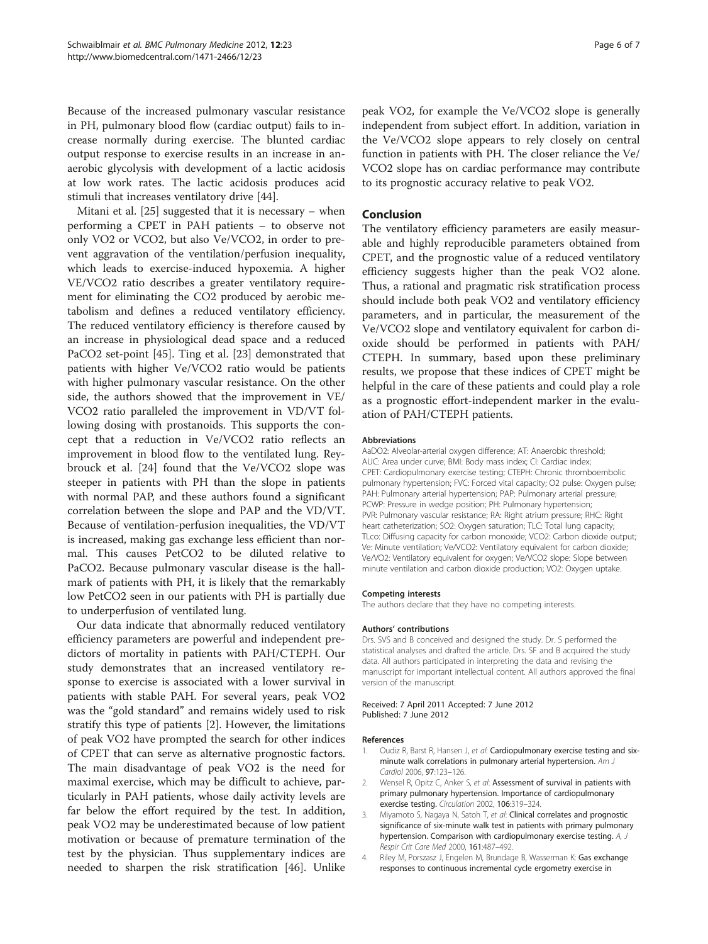<span id="page-5-0"></span>Because of the increased pulmonary vascular resistance in PH, pulmonary blood flow (cardiac output) fails to increase normally during exercise. The blunted cardiac output response to exercise results in an increase in anaerobic glycolysis with development of a lactic acidosis at low work rates. The lactic acidosis produces acid stimuli that increases ventilatory drive [\[44](#page-6-0)].

Mitani et al. [\[25\]](#page-6-0) suggested that it is necessary – when performing a CPET in PAH patients – to observe not only VO2 or VCO2, but also Ve/VCO2, in order to prevent aggravation of the ventilation/perfusion inequality, which leads to exercise-induced hypoxemia. A higher VE/VCO2 ratio describes a greater ventilatory requirement for eliminating the CO2 produced by aerobic metabolism and defines a reduced ventilatory efficiency. The reduced ventilatory efficiency is therefore caused by an increase in physiological dead space and a reduced PaCO2 set-point [[45\]](#page-6-0). Ting et al. [[23\]](#page-6-0) demonstrated that patients with higher Ve/VCO2 ratio would be patients with higher pulmonary vascular resistance. On the other side, the authors showed that the improvement in VE/ VCO2 ratio paralleled the improvement in VD/VT following dosing with prostanoids. This supports the concept that a reduction in Ve/VCO2 ratio reflects an improvement in blood flow to the ventilated lung. Reybrouck et al. [\[24](#page-6-0)] found that the Ve/VCO2 slope was steeper in patients with PH than the slope in patients with normal PAP, and these authors found a significant correlation between the slope and PAP and the VD/VT. Because of ventilation-perfusion inequalities, the VD/VT is increased, making gas exchange less efficient than normal. This causes PetCO2 to be diluted relative to PaCO2. Because pulmonary vascular disease is the hallmark of patients with PH, it is likely that the remarkably low PetCO2 seen in our patients with PH is partially due to underperfusion of ventilated lung.

Our data indicate that abnormally reduced ventilatory efficiency parameters are powerful and independent predictors of mortality in patients with PAH/CTEPH. Our study demonstrates that an increased ventilatory response to exercise is associated with a lower survival in patients with stable PAH. For several years, peak VO2 was the "gold standard" and remains widely used to risk stratify this type of patients [2]. However, the limitations of peak VO2 have prompted the search for other indices of CPET that can serve as alternative prognostic factors. The main disadvantage of peak VO2 is the need for maximal exercise, which may be difficult to achieve, particularly in PAH patients, whose daily activity levels are far below the effort required by the test. In addition, peak VO2 may be underestimated because of low patient motivation or because of premature termination of the test by the physician. Thus supplementary indices are needed to sharpen the risk stratification [[46\]](#page-6-0). Unlike

peak VO2, for example the Ve/VCO2 slope is generally independent from subject effort. In addition, variation in the Ve/VCO2 slope appears to rely closely on central function in patients with PH. The closer reliance the Ve/ VCO2 slope has on cardiac performance may contribute to its prognostic accuracy relative to peak VO2.

## Conclusion

The ventilatory efficiency parameters are easily measurable and highly reproducible parameters obtained from CPET, and the prognostic value of a reduced ventilatory efficiency suggests higher than the peak VO2 alone. Thus, a rational and pragmatic risk stratification process should include both peak VO2 and ventilatory efficiency parameters, and in particular, the measurement of the Ve/VCO2 slope and ventilatory equivalent for carbon dioxide should be performed in patients with PAH/ CTEPH. In summary, based upon these preliminary results, we propose that these indices of CPET might be helpful in the care of these patients and could play a role as a prognostic effort-independent marker in the evaluation of PAH/CTEPH patients.

#### Abbreviations

AaDO2: Alveolar-arterial oxygen difference; AT: Anaerobic threshold; AUC: Area under curve; BMI: Body mass index; CI: Cardiac index; CPET: Cardiopulmonary exercise testing; CTEPH: Chronic thromboembolic pulmonary hypertension; FVC: Forced vital capacity; O2 pulse: Oxygen pulse; PAH: Pulmonary arterial hypertension; PAP: Pulmonary arterial pressure; PCWP: Pressure in wedge position; PH: Pulmonary hypertension; PVR: Pulmonary vascular resistance; RA: Right atrium pressure; RHC: Right heart catheterization; SO2: Oxygen saturation; TLC: Total lung capacity; TLco: Diffusing capacity for carbon monoxide; VCO2: Carbon dioxide output; Ve: Minute ventilation; Ve/VCO2: Ventilatory equivalent for carbon dioxide; Ve/VO2: Ventilatory equivalent for oxygen; Ve/VCO2 slope: Slope between minute ventilation and carbon dioxide production; VO2: Oxygen uptake.

#### Competing interests

The authors declare that they have no competing interests.

#### Authors' contributions

Drs. SVS and B conceived and designed the study. Dr. S performed the statistical analyses and drafted the article. Drs. SF and B acquired the study data. All authors participated in interpreting the data and revising the manuscript for important intellectual content. All authors approved the final version of the manuscript.

#### Received: 7 April 2011 Accepted: 7 June 2012 Published: 7 June 2012

#### References

- Oudiz R, Barst R, Hansen J, et al: Cardiopulmonary exercise testing and sixminute walk correlations in pulmonary arterial hypertension. Am J Cardiol 2006, 97:123–126.
- Wensel R, Opitz C, Anker S, et al: Assessment of survival in patients with primary pulmonary hypertension. Importance of cardiopulmonary exercise testing. Circulation 2002, 106:319-324.
- 3. Miyamoto S, Nagaya N, Satoh T, et al: Clinical correlates and prognostic significance of six-minute walk test in patients with primary pulmonary hypertension. Comparison with cardiopulmonary exercise testing. A, J Respir Crit Care Med 2000, 161:487–492.
- 4. Riley M, Porszasz J, Engelen M, Brundage B, Wasserman K: Gas exchange responses to continuous incremental cycle ergometry exercise in